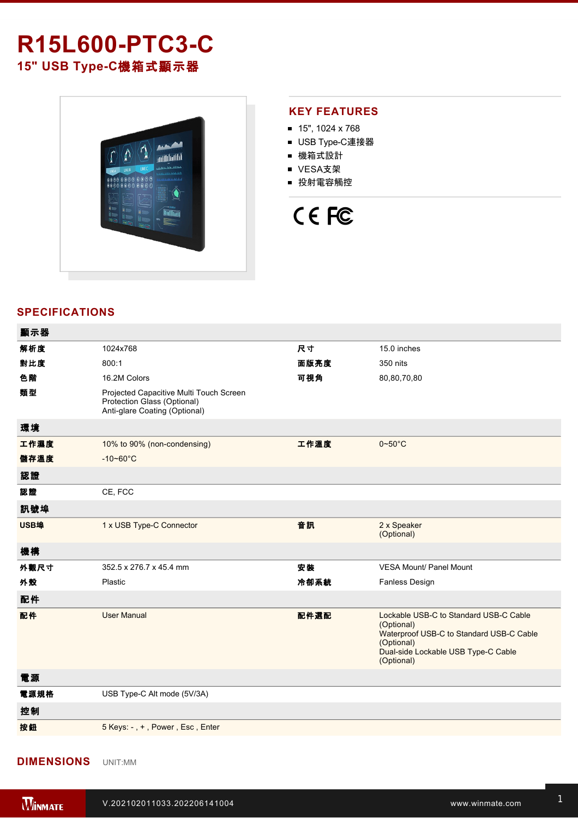## **R15L600-PTC3-C 15" USB TypeC**機箱式顯示器



#### **KEY FEATURES**

- $15$ ", 1024 x 768
- USB Type-C連接器
- 機箱式設計
- VESA支架
- 投射電容觸控

# CE FC

### **SPECIFICATIONS**

| 顯示器  |                                                                                                         |      |                                                                                                                                                                     |
|------|---------------------------------------------------------------------------------------------------------|------|---------------------------------------------------------------------------------------------------------------------------------------------------------------------|
| 解析度  | 1024x768                                                                                                | 尺寸   | 15.0 inches                                                                                                                                                         |
| 對比度  | 800:1                                                                                                   | 面版亮度 | 350 nits                                                                                                                                                            |
| 色階   | 16.2M Colors                                                                                            | 可視角  | 80,80,70,80                                                                                                                                                         |
| 類型   | Projected Capacitive Multi Touch Screen<br>Protection Glass (Optional)<br>Anti-glare Coating (Optional) |      |                                                                                                                                                                     |
| 環境   |                                                                                                         |      |                                                                                                                                                                     |
| 工作濕度 | 10% to 90% (non-condensing)                                                                             | 工作溫度 | $0 - 50$ °C                                                                                                                                                         |
| 儲存溫度 | $-10 - 60^{\circ}$ C                                                                                    |      |                                                                                                                                                                     |
| 認證   |                                                                                                         |      |                                                                                                                                                                     |
| 認證   | CE, FCC                                                                                                 |      |                                                                                                                                                                     |
| 訊號埠  |                                                                                                         |      |                                                                                                                                                                     |
| USB埠 | 1 x USB Type-C Connector                                                                                | 音訊   | 2 x Speaker<br>(Optional)                                                                                                                                           |
| 機構   |                                                                                                         |      |                                                                                                                                                                     |
| 外觀尺寸 | 352.5 x 276.7 x 45.4 mm                                                                                 | 安装   | <b>VESA Mount/ Panel Mount</b>                                                                                                                                      |
| 外殼   | Plastic                                                                                                 | 冷卻系統 | <b>Fanless Design</b>                                                                                                                                               |
| 配件   |                                                                                                         |      |                                                                                                                                                                     |
| 配件   | <b>User Manual</b>                                                                                      | 配件選配 | Lockable USB-C to Standard USB-C Cable<br>(Optional)<br>Waterproof USB-C to Standard USB-C Cable<br>(Optional)<br>Dual-side Lockable USB Type-C Cable<br>(Optional) |
| 電源   |                                                                                                         |      |                                                                                                                                                                     |
| 電源規格 | USB Type-C Alt mode (5V/3A)                                                                             |      |                                                                                                                                                                     |
| 控制   |                                                                                                         |      |                                                                                                                                                                     |
| 按鈕   | 5 Keys: -, +, Power, Esc, Enter                                                                         |      |                                                                                                                                                                     |

#### **DIMENSIONS**  UNIT:MM